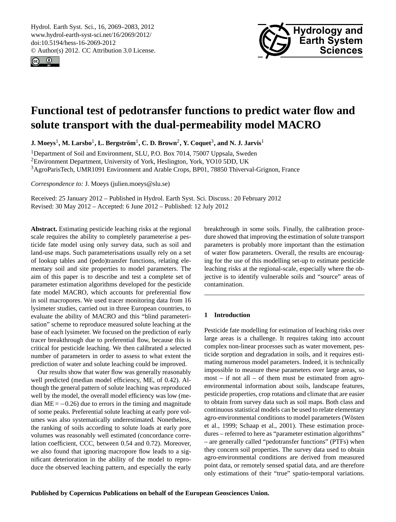<span id="page-0-0"></span>Hydrol. Earth Syst. Sci., 16, 2069–2083, 2012 www.hydrol-earth-syst-sci.net/16/2069/2012/ doi:10.5194/hess-16-2069-2012 © Author(s) 2012. CC Attribution 3.0 License.





# **Functional test of pedotransfer functions to predict water flow and solute transport with the dual-permeability model MACRO**

 ${\bf J. \ Meeys^1, \ M. \ Larsbo^1, \ L. \ Bergstrut{B} \, B. \ C. \ D. \ Brown^2, \ Y. \ Coquet^3, \ and \ N. \ J. \ Jarvis^1}$ 

<sup>1</sup>Department of Soil and Environment, SLU, P.O. Box 7014, 75007 Uppsala, Sweden <sup>2</sup>Environment Department, University of York, Heslington, York, YO10 5DD, UK <sup>3</sup>AgroParisTech, UMR1091 Environment and Arable Crops, BP01, 78850 Thiverval-Grignon, France

*Correspondence to:* J. Moeys (julien.moeys@slu.se)

Received: 25 January 2012 – Published in Hydrol. Earth Syst. Sci. Discuss.: 20 February 2012 Revised: 30 May 2012 – Accepted: 6 June 2012 – Published: 12 July 2012

**Abstract.** Estimating pesticide leaching risks at the regional scale requires the ability to completely parameterise a pesticide fate model using only survey data, such as soil and land-use maps. Such parameterisations usually rely on a set of lookup tables and (pedo)transfer functions, relating elementary soil and site properties to model parameters. The aim of this paper is to describe and test a complete set of parameter estimation algorithms developed for the pesticide fate model MACRO, which accounts for preferential flow in soil macropores. We used tracer monitoring data from 16 lysimeter studies, carried out in three European countries, to evaluate the ability of MACRO and this "blind parameterisation" scheme to reproduce measured solute leaching at the base of each lysimeter. We focused on the prediction of early tracer breakthrough due to preferential flow, because this is critical for pesticide leaching. We then calibrated a selected number of parameters in order to assess to what extent the prediction of water and solute leaching could be improved.

Our results show that water flow was generally reasonably well predicted (median model efficiency, ME, of 0.42). Although the general pattern of solute leaching was reproduced well by the model, the overall model efficiency was low (median  $ME = -0.26$ ) due to errors in the timing and magnitude of some peaks. Preferential solute leaching at early pore volumes was also systematically underestimated. Nonetheless, the ranking of soils according to solute loads at early pore volumes was reasonably well estimated (concordance correlation coefficient, CCC, between 0.54 and 0.72). Moreover, we also found that ignoring macropore flow leads to a significant deterioration in the ability of the model to reproduce the observed leaching pattern, and especially the early

breakthrough in some soils. Finally, the calibration procedure showed that improving the estimation of solute transport parameters is probably more important than the estimation of water flow parameters. Overall, the results are encouraging for the use of this modelling set-up to estimate pesticide leaching risks at the regional-scale, especially where the objective is to identify vulnerable soils and "source" areas of contamination.

# **1 Introduction**

Pesticide fate modelling for estimation of leaching risks over large areas is a challenge. It requires taking into account complex non-linear processes such as water movement, pesticide sorption and degradation in soils, and it requires estimating numerous model parameters. Indeed, it is technically impossible to measure these parameters over large areas, so most – if not all – of them must be estimated from agroenvironmental information about soils, landscape features, pesticide properties, crop rotations and climate that are easier to obtain from survey data such as soil maps. Both class and continuous statistical models can be used to relate elementary agro-environmental conditions to model parameters (Wösten et al., 1999; Schaap et al., 2001). These estimation procedures – referred to here as "parameter estimation algorithms" – are generally called "pedotransfer functions" (PTFs) when they concern soil properties. The survey data used to obtain agro-environmental conditions are derived from measured point data, or remotely sensed spatial data, and are therefore only estimations of their "true" spatio-temporal variations.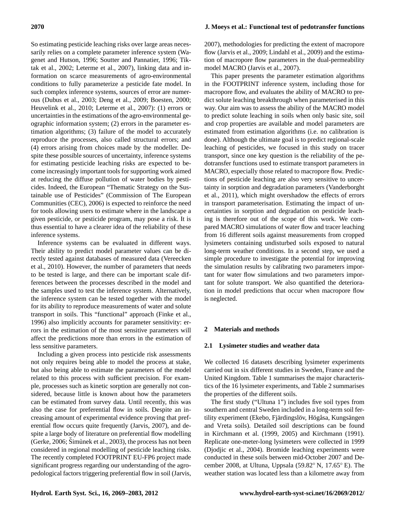So estimating pesticide leaching risks over large areas necessarily relies on a complete parameter inference system (Wagenet and Hutson, 1996; Soutter and Pannatier, 1996; Tiktak et al., 2002; Leterme et al., 2007), linking data and information on scarce measurements of agro-environmental conditions to fully parameterize a pesticide fate model. In such complex inference systems, sources of error are numerous (Dubus et al., 2003; Deng et al., 2009; Boesten, 2000; Heuvelink et al., 2010; Leterme et al., 2007): [\(1\)](#page-4-0) errors or uncertainties in the estimations of the agro-environmental geographic information system; [\(2\)](#page-4-1) errors in the parameter estimation algorithms; [\(3\)](#page-5-0) failure of the model to accurately reproduce the processes, also called structural errors; and [\(4\)](#page-6-0) errors arising from choices made by the modeller. Despite these possible sources of uncertainty, inference systems for estimating pesticide leaching risks are expected to become increasingly important tools for supporting work aimed at reducing the diffuse pollution of water bodies by pesticides. Indeed, the European "Thematic Strategy on the Sustainable use of Pesticides" (Commission of The European Communities (CEC), 2006) is expected to reinforce the need for tools allowing users to estimate where in the landscape a given pesticide, or pesticide program, may pose a risk. It is thus essential to have a clearer idea of the reliability of these inference systems.

Inference systems can be evaluated in different ways. Their ability to predict model parameter values can be directly tested against databases of measured data (Vereecken et al., 2010). However, the number of parameters that needs to be tested is large, and there can be important scale differences between the processes described in the model and the samples used to test the inference system. Alternatively, the inference system can be tested together with the model for its ability to reproduce measurements of water and solute transport in soils. This "functional" approach (Finke et al., 1996) also implicitly accounts for parameter sensitivity: errors in the estimation of the most sensitive parameters will affect the predictions more than errors in the estimation of less sensitive parameters.

Including a given process into pesticide risk assessments not only requires being able to model the process at stake, but also being able to estimate the parameters of the model related to this process with sufficient precision. For example, processes such as kinetic sorption are generally not considered, because little is known about how the parameters can be estimated from survey data. Until recently, this was also the case for preferential flow in soils. Despite an increasing amount of experimental evidence proving that preferential flow occurs quite frequently (Jarvis, 2007), and despite a large body of literature on preferential flow modelling (Gerke,  $2006$ ; Simùnek et al.,  $2003$ ), the process has not been considered in regional modelling of pesticide leaching risks. The recently completed FOOTPRINT EU-FP6 project made significant progress regarding our understanding of the agropedological factors triggering preferential flow in soil (Jarvis,

# **2070 J. Moeys et al.: Functional test of pedotransfer functions**

2007), methodologies for predicting the extent of macropore flow (Jarvis et al., 2009; Lindahl et al., 2009) and the estimation of macropore flow parameters in the dual-permeability model MACRO (Jarvis et al., 2007).

This paper presents the parameter estimation algorithms in the FOOTPRINT inference system, including those for macropore flow, and evaluates the ability of MACRO to predict solute leaching breakthrough when parameterised in this way. Our aim was to assess the ability of the MACRO model to predict solute leaching in soils when only basic site, soil and crop properties are available and model parameters are estimated from estimation algorithms (i.e. no calibration is done). Although the ultimate goal is to predict regional-scale leaching of pesticides, we focused in this study on tracer transport, since one key question is the reliability of the pedotransfer functions used to estimate transport parameters in MACRO, especially those related to macropore flow. Predictions of pesticide leaching are also very sensitive to uncertainty in sorption and degradation parameters (Vanderborght et al., 2011), which might overshadow the effects of errors in transport parameterisation. Estimating the impact of uncertainties in sorption and degradation on pesticide leaching is therefore out of the scope of this work. We compared MACRO simulations of water flow and tracer leaching from 16 different soils against measurements from cropped lysimeters containing undisturbed soils exposed to natural long-term weather conditions. In a second step, we used a simple procedure to investigate the potential for improving the simulation results by calibrating two parameters important for water flow simulations and two parameters important for solute transport. We also quantified the deterioration in model predictions that occur when macropore flow is neglected.

# **2 Materials and methods**

#### **2.1 Lysimeter studies and weather data**

We collected 16 datasets describing lysimeter experiments carried out in six different studies in Sweden, France and the United Kingdom. Table 1 summarises the major characteristics of the 16 lysimeter experiments, and Table 2 summarises the properties of the different soils.

The first study ("Ultuna 1") includes five soil types from southern and central Sweden included in a long-term soil fertility experiment (Ekebo, Fjärdingslöv, Högåsa, Kungsängen and Vreta soils). Detailed soil descriptions can be found in Kirchmann et al. (1999, 2005) and Kirchmann (1991). Replicate one-meter-long lysimeters were collected in 1999 (Djodjic et al., 2004). Bromide leaching experiments were conducted in these soils between mid-October 2007 and December 2008, at Ultuna, Uppsala (59.82◦ N, 17.65◦ E). The weather station was located less than a kilometre away from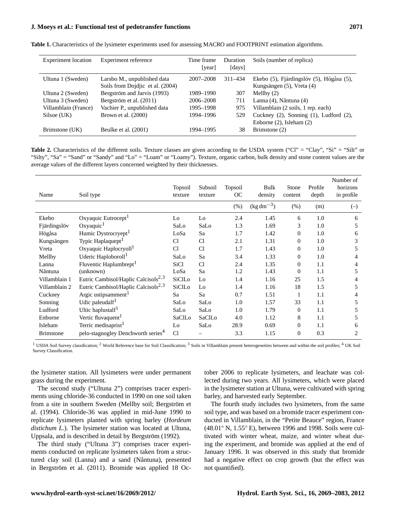| <b>Experiment</b> location | Experiment reference             | Time frame<br>[year] | Duration<br>[days] | Soils (number of replica)                       |
|----------------------------|----------------------------------|----------------------|--------------------|-------------------------------------------------|
| Ultuna 1 (Sweden)          | Larsbo M., unpublished data      | 2007-2008            | $311 - 434$        | Ekebo (5), Fjärdingslöv (5), Högåsa (5),        |
|                            | Soils from Dojdjic et al. (2004) |                      |                    | Kungsängen (5), Vreta (4)                       |
| Ultuna 2 (Sweden)          | Bergström and Jarvis (1993)      | 1989–1990            | 307                | Mellby $(2)$                                    |
| Ultuna 3 (Sweden)          | Bergström et al. (2011)          | 2006–2008            | 711                | Lanna (4), Nåntuna (4)                          |
| Villamblain (France)       | Vachier P., unpublished data     | 1995-1998            | 975                | Villamblain (2 soils, 1 rep. each)              |
| Silsoe (UK)                | Brown et al. $(2000)$            | 1994–1996            | 529                | Cuckney $(2)$ , Sonning $(1)$ , Ludford $(2)$ , |
|                            |                                  |                      |                    | Enborne $(2)$ , Isleham $(2)$                   |
| Brimstone (UK)             | Beulke et al. (2001)             | 1994–1995            | 38                 | Brimstone (2)                                   |

**Table 1.** Characteristics of the lysimeter experiments used for assessing MACRO and FOOTPRINT estimation algorithms.

**Table 2.** Characteristics of the different soils. Texture classes are given according to the USDA system ("Cl" = "Clay", "Si" = "Silt" or "Silty", "Sa" = "Sand" or "Sandy" and "Lo" = "Loam" or "Loamy"). Texture, organic carbon, bulk density and stone content values are the average values of the different layers concerned weighted by their thicknesses.

| Name             | Soil type                                       | <b>Topsoil</b><br>texture | Subsoil<br>texture | Topsoil<br><b>OC</b> | Bulk<br>density       | Stone<br>content | Profile<br>depth | Number of<br>horizons<br>in profile |
|------------------|-------------------------------------------------|---------------------------|--------------------|----------------------|-----------------------|------------------|------------------|-------------------------------------|
|                  |                                                 |                           |                    | $(\%)$               | $(\text{kg dm}^{-3})$ | (% )             | (m)              | $(-)$                               |
| Ekebo            | Oxyaquic Eutrocept <sup>1</sup>                 | Lo                        | Lo                 | 2.4                  | 1.45                  | 6                | 1.0              | 6                                   |
| Fjärdingslöv     | Oxyaquic <sup>1</sup>                           | SaLo                      | SaLo               | 1.3                  | 1.69                  | 3                | 1.0              | 5                                   |
| Högåsa           | Humic Dystrocryept <sup>1</sup>                 | LoSa                      | Sa                 | 1.7                  | 1.42                  | $\boldsymbol{0}$ | 1.0              | 6                                   |
| Kungsängen       | Typic Haplaquept <sup>1</sup>                   | C <sub>1</sub>            | C <sub>1</sub>     | 2.1                  | 1.31                  | $\theta$         | 1.0              | 3                                   |
| Vreta            | Oxyaquic Haplocryoll <sup>1</sup>               | Cl                        | Cl                 | 1.7                  | 1.43                  | $\theta$         | 1.0              | 5                                   |
| Mellby           | Uderic Haploboroll <sup>1</sup>                 | SaLo                      | Sa                 | 3.4                  | 1.33                  | $\Omega$         | 1.0              | $\overline{4}$                      |
| Lanna            | Fluventic Haplumbrept <sup>1</sup>              | <b>SiCl</b>               | Cl                 | 2.4                  | 1.35                  | $\overline{0}$   | 1.1              | 4                                   |
| Nåntuna          | (unknown)                                       | LoSa                      | Sa                 | 1.2                  | 1.43                  | $\theta$         | 1.1              | 5                                   |
| Villamblain 1    | Eutric Cambisol/Haplic Calcisols <sup>2,3</sup> | SiCILo                    | Lo                 | 1.4                  | 1.16                  | 25               | 1.5              | 4                                   |
| Villamblain 2    | Eutric Cambisol/Haplic Calcisols <sup>2,3</sup> | SiCILo                    | Lo                 | 1.4                  | 1.16                  | 18               | 1.5              | 5                                   |
| Cuckney          | Argic ustipsamment <sup>1</sup>                 | Sa                        | Sa                 | 0.7                  | 1.51                  | 1                | 1.1              | 4                                   |
| Sonning          | Udic paleudalf <sup>1</sup>                     | SaLo                      | SaLo               | 1.0                  | 1.57                  | 33               | 1.1              | 5                                   |
| Ludford          | Ultic haplustalf <sup>1</sup>                   | SaLo                      | SaLo               | 1.0                  | 1.79                  | $\theta$         | 1.1              | 5                                   |
| Enborne          | Vertic fluvaquent <sup>1</sup>                  | SaClLo                    | SaClLo             | 4.0                  | 1.12                  | 8                | 1.1              | 5                                   |
| Isleham          | Terric medisaprist <sup>1</sup>                 | Lo                        | SaLo               | 28.9                 | 0.69                  | $\Omega$         | 1.1              | 6                                   |
| <b>Brimstone</b> | pelo-stagnogley Denchworth series <sup>4</sup>  | Cl                        |                    | 3.3                  | 1.15                  | $\overline{0}$   | 0.3              | $\overline{2}$                      |

<sup>1</sup> USDA Soil Survey classification; <sup>2</sup> World Reference base for Soil Classification; <sup>3</sup> Soils in Villamblain present heterogeneities between and within the soil profiles; <sup>4</sup> UK Soil Survey Classification.

the lysimeter station. All lysimeters were under permanent grass during the experiment.

The second study ("Ultuna 2") comprises tracer experiments using chloride-36 conducted in 1990 on one soil taken from a site in southern Sweden (Mellby soil; Bergström et al. (1994). Chloride-36 was applied in mid-June 1990 to replicate lysimeters planted with spring barley (*Hordeum distichum L.*). The lysimeter station was located at Ultuna, Uppsala, and is described in detail by Bergström (1992).

The third study ("Ultuna 3") comprises tracer experiments conducted on replicate lysimeters taken from a structured clay soil (Lanna) and a sand (Nåntuna), presented in Bergström et al. (2011). Bromide was applied 18 October 2006 to replicate lysimeters, and leachate was collected during two years. All lysimeters, which were placed in the lysimeter station at Ultuna, were cultivated with spring barley, and harvested early September.

The fourth study includes two lysimeters, from the same soil type, and was based on a bromide tracer experiment conducted in Villamblain, in the "Petite Beauce" region, France (48.01◦ N, 1.55◦ E), between 1996 and 1998. Soils were cultivated with winter wheat, maize, and winter wheat during the experiment, and bromide was applied at the end of January 1996. It was observed in this study that bromide had a negative effect on crop growth (but the effect was not quantified).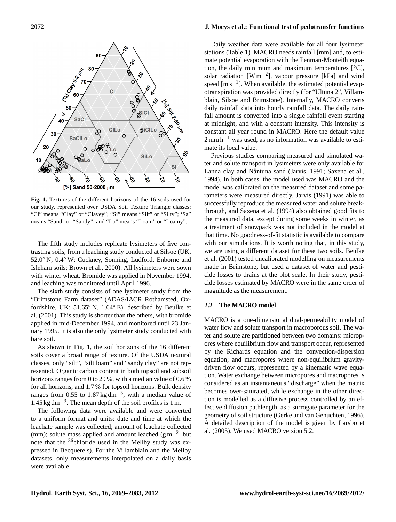

**Fig. 1.** Textures of the different horizons of the 16 soils used for our study, represented over USDA Soil Texture Triangle classes: "Cl" means "Clay" or "Clayey"; "Si" means "Silt" or "Silty"; 'Sa" means "Sand" or "Sandy"; and "Lo" means "Loam" or "Loamy".

The fifth study includes replicate lysimeters of five contrasting soils, from a leaching study conducted at Silsoe (UK, 52.0◦ N, 0.4◦ W; Cuckney, Sonning, Ludford, Enborne and Isleham soils; Brown et al., 2000). All lysimeters were sown with winter wheat. Bromide was applied in November 1994, and leaching was monitored until April 1996.

The sixth study consists of one lysimeter study from the "Brimstone Farm dataset" (ADAS/IACR Rothamsted, Oxfordshire, UK; 51.65◦ N, 1.64◦ E), described by Beulke et al. (2001). This study is shorter than the others, with bromide applied in mid-December 1994, and monitored until 23 January 1995. It is also the only lysimeter study conducted with bare soil.

As shown in Fig. 1, the soil horizons of the 16 different soils cover a broad range of texture. Of the USDA textural classes, only "silt", "silt loam" and "sandy clay" are not represented. Organic carbon content in both topsoil and subsoil horizons ranges from 0 to 29 %, with a median value of 0.6 % for all horizons, and 1.7 % for topsoil horizons. Bulk density ranges from 0.55 to 1.87 kg dm<sup>-3</sup>, with a median value of 1.45 kg dm−<sup>3</sup> . The mean depth of the soil profiles is 1 m.

The following data were available and were converted to a uniform format and units: date and time at which the leachate sample was collected; amount of leachate collected (mm); solute mass applied and amount leached ( $\rm{g\,m^{-2}}$ , but note that the  $36$ chloride used in the Mellby study was expressed in Becquerels). For the Villamblain and the Mellby datasets, only measurements interpolated on a daily basis were available.

# **2072 J. Moeys et al.: Functional test of pedotransfer functions**

Daily weather data were available for all four lysimeter stations (Table 1). MACRO needs rainfall [mm] and, to estimate potential evaporation with the Penman-Monteith equation, the daily minimum and maximum temperatures [◦C], solar radiation [W m<sup>-2</sup>], vapour pressure [kPa] and wind speed  $\lfloor m s^{-1} \rfloor$ . When available, the estimated potential evapotranspiration was provided directly (for "Ultuna 2", Villamblain, Silsoe and Brimstone). Internally, MACRO converts daily rainfall data into hourly rainfall data. The daily rainfall amount is converted into a single rainfall event starting at midnight, and with a constant intensity. This intensity is constant all year round in MACRO. Here the default value  $2 \text{ mm h}^{-1}$  was used, as no information was available to estimate its local value.

Previous studies comparing measured and simulated water and solute transport in lysimeters were only available for Lanna clay and Nåntuna sand (Jarvis, 1991; Saxena et al., 1994). In both cases, the model used was MACRO and the model was calibrated on the measured dataset and some parameters were measured directly. Jarvis (1991) was able to successfully reproduce the measured water and solute breakthrough, and Saxena et al. (1994) also obtained good fits to the measured data, except during some weeks in winter, as a treatment of snowpack was not included in the model at that time. No goodness-of-fit statistic is available to compare with our simulations. It is worth noting that, in this study, we are using a different dataset for these two soils. Beulke et al. (2001) tested uncalibrated modelling on measurements made in Brimstone, but used a dataset of water and pesticide losses to drains at the plot scale. In their study, pesticide losses estimated by MACRO were in the same order of magnitude as the measurement.

# **2.2 The MACRO model**

MACRO is a one-dimensional dual-permeability model of water flow and solute transport in macroporous soil. The water and solute are partitioned between two domains: micropores where equilibrium flow and transport occur, represented by the Richards equation and the convection-dispersion equation; and macropores where non-equilibrium gravitydriven flow occurs, represented by a kinematic wave equation. Water exchange between micropores and macropores is considered as an instantaneous "discharge" when the matrix becomes over-saturated, while exchange in the other direction is modelled as a diffusive process controlled by an effective diffusion pathlength, as a surrogate parameter for the geometry of soil structure (Gerke and van Genuchten, 1996). A detailed description of the model is given by Larsbo et al. (2005). We used MACRO version 5.2.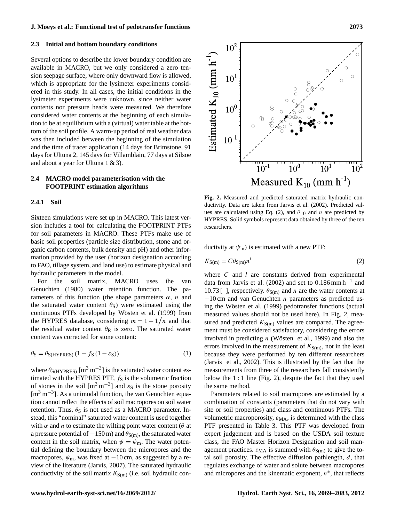#### **2.3 Initial and bottom boundary conditions**

Several options to describe the lower boundary condition are available in MACRO, but we only considered a zero tension seepage surface, where only downward flow is allowed, which is appropriate for the lysimeter experiments considered in this study. In all cases, the initial conditions in the lysimeter experiments were unknown, since neither water contents nor pressure heads were measured. We therefore considered water contents at the beginning of each simulation to be at equilibrium with a (virtual) water table at the bottom of the soil profile. A warm-up period of real weather data was then included between the beginning of the simulation and the time of tracer application (14 days for Brimstone, 91 days for Ultuna 2, 145 days for Villamblain, 77 days at Silsoe and about a year for Ultuna  $1 \& 3$ ).

# **2.4 MACRO model parameterisation with the FOOTPRINT estimation algorithms**

# **2.4.1 Soil**

Sixteen simulations were set up in MACRO. This latest version includes a tool for calculating the FOOTPRINT PTFs for soil parameters in MACRO. These PTFs make use of basic soil properties (particle size distribution, stone and organic carbon contents, bulk density and pH) and other information provided by the user (horizon designation according to FAO, tillage system, and land use) to estimate physical and hydraulic parameters in the model.

For the soil matrix, MACRO uses the van Genuchten (1980) water retention function. The parameters of this function (the shape parameters  $\alpha$ , n and the saturated water content  $\theta_{\rm S}$ ) were estimated using the continuous PTFs developed by Wösten et al. (1999) from the HYPRES database, considering  $m = 1 - 1/n$  and that the residual water content  $\theta_R$  is zero. The saturated water content was corrected for stone content:

$$
\theta_{\rm S} = \theta_{\rm S(HYPRES)} \left( 1 - f_{\rm S} \left( 1 - \varepsilon_{\rm S} \right) \right) \tag{1}
$$

where  $\theta_{S(HYPRES)}$  [m<sup>3</sup> m<sup>-3</sup>] is the saturated water content estimated with the HYPRES PTF,  $f_S$  is the volumetric fraction of stones in the soil  $[m^3 m^{-3}]$  and  $\varepsilon_S$  is the stone porosity [m<sup>3</sup> m<sup>-3</sup>]. As a unimodal function, the van Genuchten equation cannot reflect the effects of soil macropores on soil water retention. Thus,  $\theta$ <sub>S</sub> is not used as a MACRO parameter. Instead, this "nominal" saturated water content is used together with  $\alpha$  and *n* to estimate the wilting point water content ( $\theta$  at a pressure potential of  $-150$  m) and  $\theta_{S(m)}$ , the saturated water content in the soil matrix, when  $\psi = \psi_m$ . The water potential defining the boundary between the micropores and the macropores,  $\psi_{\rm m}$ , was fixed at  $-10$  cm, as suggested by a review of the literature (Jarvis, 2007). The saturated hydraulic conductivity of the soil matrix  $K_{S(m)}$  (i.e. soil hydraulic con-



**Fig. 2.** Measured and predicted saturated matrix hydraulic conductivity. Data are taken from Jarvis et al. (2002). Predicted values are calculated using Eq. (2), and  $\theta_{10}$  and n are predicted by HYPRES. Solid symbols represent data obtained by three of the ten researchers.

<span id="page-4-1"></span>ductivity at  $\psi$ <sub>m</sub>) is estimated with a new PTF:

$$
K_{\rm S(m)} = C \theta_{\rm S(m)} n^l \tag{2}
$$

where  $C$  and  $l$  are constants derived from experimental data from Jarvis et al. (2002) and set to  $0.186$  mm h<sup>-1</sup> and 10.73 [–], respectively.  $\theta_{S(m)}$  and *n* are the water contents at  $-10$  cm and van Genuchten *n* parameters as predicted using the Wösten et al. (1999) pedotransfer functions (actual measured values should not be used here). In Fig. 2, measured and predicted  $K_{S(m)}$  values are compared. The agreement must be considered satisfactory, considering the errors involved in predicting  $n$  (Wösten et al., 1999) and also the errors involved in the measurement of  $K_{S(m)}$ , not in the least because they were performed by ten different researchers (Jarvis et al., 2002). This is illustrated by the fact that the measurements from three of the researchers fall consistently below the 1 : 1 line (Fig. 2), despite the fact that they used the same method.

<span id="page-4-0"></span>Parameters related to soil macropores are estimated by a combination of constants (parameters that do not vary with site or soil properties) and class and continuous PTFs. The volumetric macroporosity,  $\varepsilon_{\text{MA}}$ , is determined with the class PTF presented in Table 3. This PTF was developed from expert judgement and is based on the USDA soil texture class, the FAO Master Horizon Designation and soil management practices.  $\varepsilon_{\text{MA}}$  is summed with  $\theta_{\text{S(m)}}$  to give the total soil porosity. The effective diffusion pathlength,  $d$ , that regulates exchange of water and solute between macropores and micropores and the kinematic exponent,  $n^*$ , that reflects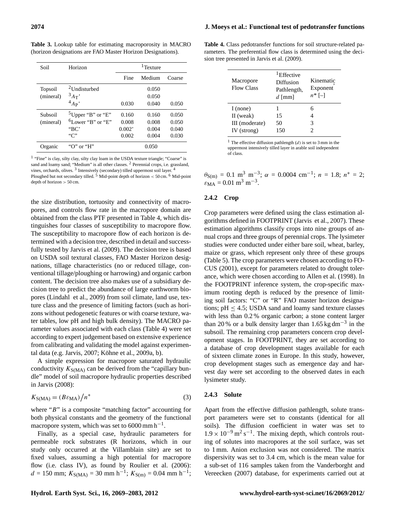|                                                             |  |  |  | Table 3. Lookup table for estimating macroporosity in MACRO |
|-------------------------------------------------------------|--|--|--|-------------------------------------------------------------|
| (horizon designations are FAO Master Horizon Designations). |  |  |  |                                                             |

| Soil           | Horizon                   |       | <sup>1</sup> Texture |        |
|----------------|---------------------------|-------|----------------------|--------|
|                |                           | Fine  | Medium               | Coarse |
| <b>Topsoil</b> | $2$ Undisturbed           |       | 0.050                |        |
| (mineral)      | $3A_T$                    |       | 0.050                |        |
|                | $^{4}$ Ap'                | 0.030 | 0.040                | 0.050  |
| Subsoil        | $5$ Upper "B" or "E"      | 0.160 | 0.160                | 0.050  |
| (mineral)      | ${}^{6}$ Lower "B" or "E" | 0.008 | 0.008                | 0.050  |
|                | "BC'                      | 0.002 | 0.004                | 0.040  |
|                | ``C"                      | 0.002 | 0.004                | 0.030  |
| Organic        | " $O$ " or " $H$ "        |       | 0.050                |        |

<sup>1</sup> "Fine" is clay, silty clay, silty clay loam in the USDA texture triangle; "Coarse" is sand and loamy sand; "Medium" is all other classes. <sup>2</sup> Perennial crops, i.e. grassland, vines, orchards, olives. <sup>3</sup> Intensively (secondary) tilled uppermost soil layer. <sup>4</sup> Ploughed but not secondary tilled.  $5$  Mid-point depth of horizon  $<$  50 cm.  $^6$  Mid-point depth of horizon  $> 50$  cm.

the size distribution, tortuosity and connectivity of macropores, and controls flow rate in the macropore domain are obtained from the class PTF presented in Table 4, which distinguishes four classes of susceptibility to macropore flow. The susceptibility to macropore flow of each horizon is determined with a decision tree, described in detail and successfully tested by Jarvis et al. (2009). The decision tree is based on USDA soil textural classes, FAO Master Horizon designations, tillage characteristics (no or reduced tillage, conventional tillage/ploughing or harrowing) and organic carbon content. The decision tree also makes use of a subsidiary decision tree to predict the abundance of large earthworm biopores (Lindahl et al., 2009) from soil climate, land use, texture class and the presence of limiting factors (such as horizons without pedogenetic features or with coarse texture, water tables, low pH and high bulk density). The MACRO parameter values associated with each class (Table 4) were set according to expert judgement based on extensive experience from calibrating and validating the model against experimental data (e.g. Jarvis,  $2007$ ; Köhne et al.,  $2009a$ , b).

A simple expression for macropore saturated hydraulic conductivity  $K_{S(MA)}$  can be derived from the "capillary bundle" model of soil macropore hydraulic properties described in Jarvis (2008):

<span id="page-5-0"></span>
$$
K_{\text{S(MA)}} = (B\varepsilon_{\text{MA}}) / n^* \tag{3}
$$

where "B" is a composite "matching factor" accounting for both physical constants and the geometry of the functional macropore system, which was set to 6000 mm h<sup>-1</sup>.

Finally, as a special case, hydraulic parameters for permeable rock substrates (R horizons, which in our study only occurred at the Villamblain site) are set to fixed values, assuming a high potential for macropore flow (i.e. class IV), as found by Roulier et al. (2006):  $d = 150$  mm;  $K_{\text{S(MA)}} = 30$  mm h<sup>-1</sup>;  $K_{\text{S(m)}} = 0.04$  mm h<sup>-1</sup>;

**Table 4.** Class pedotransfer functions for soil structure-related parameters. The preferential flow class is determined using the decision tree presented in Jarvis et al. (2009).

| Macropore<br><b>Flow Class</b> | <sup>1</sup> Effective<br>Diffusion<br>Pathlength,<br>$d$ [mm] | Kinematic<br>Exponent<br>$n^*$ [-] |
|--------------------------------|----------------------------------------------------------------|------------------------------------|
| $I$ (none)                     |                                                                | 6                                  |
| II (weak)                      | 15                                                             | 4                                  |
| III (moderate)                 | 50                                                             | 3                                  |
| IV (strong)                    | 150                                                            | 2                                  |

<sup>1</sup> The effective diffusion pathlength ( $d$ ) is set to 3 mm in the uppermost intensively tilled layer in arable soil independent of class.

 $\theta_{S(m)} = 0.1 \text{ m}^3 \text{ m}^{-3}$ ;  $\alpha = 0.0004 \text{ cm}^{-1}$ ;  $n = 1.8$ ;  $n^* = 2$ ;  $\varepsilon_{\text{MA}} = 0.01 \text{ m}^3 \text{ m}^{-3}.$ 

# **2.4.2 Crop**

Crop parameters were defined using the class estimation algorithms defined in FOOTPRINT (Jarvis et al., 2007). These estimation algorithms classify crops into nine groups of annual crops and three groups of perennial crops. The lysimeter studies were conducted under either bare soil, wheat, barley, maize or grass, which represent only three of these groups (Table 5). The crop parameters were chosen according to FO-CUS (2001), except for parameters related to drought tolerance, which were chosen according to Allen et al. (1998). In the FOOTPRINT inference system, the crop-specific maximum rooting depth is reduced by the presence of limiting soil factors: "C" or "R" FAO master horizon designations;  $pH \leq 4.5$ ; USDA sand and loamy sand texture classes with less than 0.2 % organic carbon; a stone content larger than 20% or a bulk density larger than  $1.65$  kg dm<sup>-3</sup> in the subsoil. The remaining crop parameters concern crop development stages. In FOOTPRINT, they are set according to a database of crop development stages available for each of sixteen climate zones in Europe. In this study, however, crop development stages such as emergence day and harvest day were set according to the observed dates in each lysimeter study.

#### **2.4.3 Solute**

Apart from the effective diffusion pathlength, solute transport parameters were set to constants (identical for all soils). The diffusion coefficient in water was set to  $1.9 \times 10^{-9}$  m<sup>2</sup> s<sup>-1</sup>. The mixing depth, which controls routing of solutes into macropores at the soil surface, was set to 1 mm. Anion exclusion was not considered. The matrix dispersivity was set to 3.4 cm, which is the mean value for a sub-set of 116 samples taken from the Vanderborght and Vereecken (2007) database, for experiments carried out at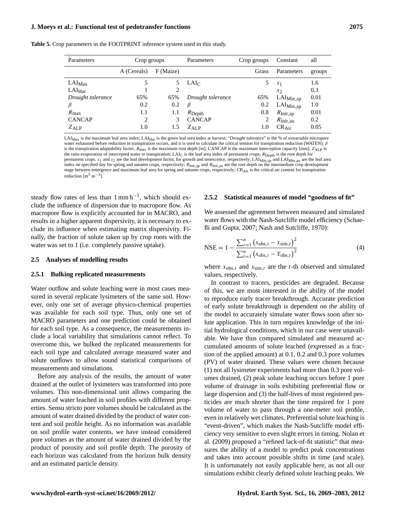**Table 5.** Crop parameters in the FOOTPRINT inference system used in this study.

| Parameters        | Crop groups |           | Parameters         | Crop groups | Constant                       | all    |
|-------------------|-------------|-----------|--------------------|-------------|--------------------------------|--------|
|                   | A (Cereals) | F (Maize) |                    | Grass       | Parameters                     | groups |
| $LAI_{Max}$       | 5           |           | $LAI_C$            | 5           | $x_1$                          | 1.6    |
| $LAI_{Har}$       |             | 2         |                    |             | $x_2$                          | 0.3    |
| Drought tolerance | 65%         | 65%       | Drought tolerance  | 65%         | $LAI_{Min_sp}$                 | 0.01   |
| β                 | 0.2         | 0.2       | Β                  | 0.2         | $LAI_{Min_sp}$                 | 1.0    |
| $R_{\text{max}}$  | $1.1\,$     | $1.1\,$   | $R_{\text{Depth}}$ | 0.8         | $R_{\text{Init} \_ \text{sp}}$ | 0.01   |
| <b>CANCAP</b>     | 2           | 3         | <b>CANCAP</b>      |             | $R_{\text{Init}\_\text{au}}$   | 0.2    |
| $Z_{ALP}$         | 1.0         | 1.5       | $Z_{ALP}$          | 1.0         | $CR_{Air}$                     | 0.05   |

LAIMax is the maximum leaf area index; LAIHar is the green leaf area index at harvest; "*Drought tolerance*" is the % of extractable micropore water exhausted before reduction in transpiration occurs, and it is used to calculate the critical tension for transpiration reduction (WATEN); β is the transpiration adaptability factor;  $R_{\text{max}}$  is the maximum root depth [m]; CANCAP is the maximum interception capacity [mm]; Z<sub>ALP</sub> is the ratio evaporation of intercepted water to transpiration;  $LA<sub>C</sub>$  is the leaf area index of permanent crops;  $R<sub>Depth</sub>$  is the root depth for permanent crops.  $x_1$  and  $x_2$  are the leaf development factor, for growth and senescence, respectively;  $LAI_{Min\_pp}$  and  $LAI_{Min\_au}$  are the leaf area<br>index on specified day for spring and autumn crops, respectively;  $R_{Init\_ap$ reduction  $\text{[m}^3 \text{ m}^{-3}$ ].

steady flow rates of less than  $1 \text{ mm h}^{-1}$ , which should exclude the influence of dispersion due to macropore flow. As macropore flow is explicitly accounted for in MACRO, and results in a higher apparent dispersivity, it is necessary to exclude its influence when estimating matrix dispersivity. Finally, the fraction of solute taken up by crop roots with the water was set to 1 (i.e. completely passive uptake).

#### **2.5 Analyses of modelling results**

#### **2.5.1 Bulking replicated measurements**

Water outflow and solute leaching were in most cases measured in several replicate lysimeters of the same soil. However, only one set of average physico-chemical properties was available for each soil type. Thus, only one set of MACRO parameters and one prediction could be obtained for each soil type. As a consequence, the measurements include a local variability that simulations cannot reflect. To overcome this, we bulked the replicated measurements for each soil type and calculated average measured water and solute outflows to allow sound statistical comparisons of measurements and simulations.

Before any analysis of the results, the amount of water drained at the outlet of lysimeters was transformed into pore volumes. This non-dimensional unit allows comparing the amount of water leached in soil profiles with different properties. Sensu stricto pore volumes should be calculated as the amount of water drained divided by the product of water content and soil profile height. As no information was available on soil profile water contents, we have instead considered pore volumes as the amount of water drained divided by the product of porosity and soil profile depth. The porosity of each horizon was calculated from the horizon bulk density and an estimated particle density.

# **2.5.2 Statistical measures of model "goodness of fit"**

<span id="page-6-0"></span>We assessed the agreement between measured and simulated water flows with the Nash-Sutcliffe model efficiency (Schaefli and Gupta, 2007; Nash and Sutcliffe, 1970):

$$
NSE = 1 - \frac{\sum_{t=1}^{n} (x_{obs,t} - x_{sim,t})^2}{\sum_{t=1}^{n} (x_{obs,t} - \overline{x}_{obs,t})^2}
$$
(4)

where  $x_{obs,t}$  and  $x_{sim,t}$  are the t-th observed and simulated values, respectively.

In contrast to tracers, pesticides are degraded. Because of this, we are most interested in the ability of the model to reproduce early tracer breakthrough. Accurate prediction of early solute breakthrough is dependent on the ability of the model to accurately simulate water flows soon after solute application. This in turn requires knowledge of the initial hydrological conditions, which in our case were unavailable. We have thus compared simulated and measured accumulated amounts of solute leached (expressed as a fraction of the applied amount) at 0.1, 0.2 and 0.3 pore volumes (PV) of water drained. These values were chosen because [\(1\)](#page-4-0) not all lysimeter experiments had more than 0.3 pore volumes drained, [\(2\)](#page-4-1) peak solute leaching occurs before 1 pore volume of drainage in soils exhibiting preferential flow or large dispersion and [\(3\)](#page-5-0) the half-lives of most registered pesticides are much shorter than the time required for 1 pore volume of water to pass through a one-meter soil profile, even in relatively wet climates. Preferential solute leaching is "event-driven", which makes the Nash-Sutcliffe model efficiency very sensitive to even slight errors in timing. Nolan et al. (2009) proposed a "refined lack-of-fit statistic" that measures the ability of a model to predict peak concentrations and takes into account possible shifts in time (and scale). It is unfortunately not easily applicable here, as not all our simulations exhibit clearly defined solute leaching peaks. We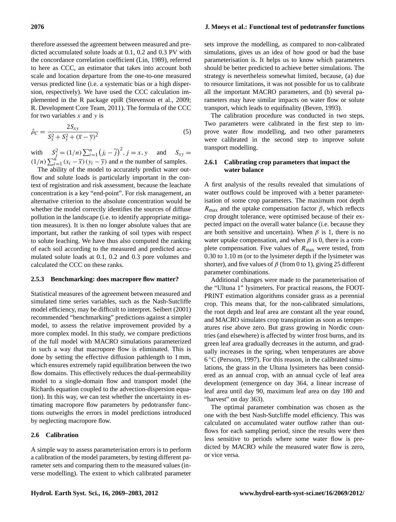therefore assessed the agreement between measured and predicted accumulated solute loads at 0.1, 0.2 and 0.3 PV with the concordance correlation coefficient (Lin, 1989), referred to here as CCC, an estimator that takes into account both scale and location departure from the one-to-one measured versus predicted line (i.e. a systematic bias or a high dispersion, respectively). We have used the CCC calculation implemented in the R package epiR (Stevenson et al., 2009; R. Development Core Team, 2011). The formula of the CCC for two variables  $x$  and  $y$  is

<span id="page-7-0"></span>
$$
\hat{\rho}_C = \frac{2S_{xy}}{S_x^2 + S_y^2 + (\bar{x} - \bar{y})^2}
$$
\n(5)

with  $S_j^2 = (1/n) \sum_{i=1}^n (j_i - \overline{j})^2, j = x, y$  and  $S_{xy} =$  $(1/n)\sum_{i=1}^{n}(x_i-\overline{x})(y_i-\overline{y})$  and *n* the number of samples.

The ability of the model to accurately predict water outflow and solute loads is particularly important in the context of registration and risk assessment, because the leachate concentration is a key "end-point". For risk management, an alternative criterion to the absolute concentration would be whether the model correctly identifies the sources of diffuse pollution in the landscape (i.e. to identify appropriate mitigation measures). It is then no longer absolute values that are important, but rather the ranking of soil types with respect to solute leaching. We have thus also computed the ranking of each soil according to the measured and predicted accumulated solute loads at 0.1, 0.2 and 0.3 pore volumes and calculated the CCC on these ranks.

#### **2.5.3 Benchmarking: does macropore flow matter?**

Statistical measures of the agreement between measured and simulated time series variables, such as the Nash-Sutcliffe model efficiency, may be difficult to interpret. Seibert (2001) recommended "benchmarking" predictions against a simpler model, to assess the relative improvement provided by a more complex model. In this study, we compare predictions of the full model with MACRO simulations parameterized in such a way that macropore flow is eliminated. This is done by setting the effective diffusion pathlength to 1 mm, which ensures extremely rapid equilibration between the two flow domains. This effectively reduces the dual-permeability model to a single-domain flow and transport model (the Richards equation coupled to the advection-dispersion equation). In this way, we can test whether the uncertainty in estimating macropore flow parameters by pedotransfer functions outweighs the errors in model predictions introduced by neglecting macropore flow.

# **2.6 Calibration**

A simple way to assess parameterisation errors is to perform a calibration of the model parameters, by testing different parameter sets and comparing them to the measured values (inverse modelling). The extent to which calibrated parameter

sets improve the modelling, as compared to non-calibrated simulations, gives us an idea of how good or bad the base parameterisation is. It helps us to know which parameters should be better predicted to achieve better simulations. The strategy is nevertheless somewhat limited, because, (a) due to resource limitations, it was not possible for us to calibrate all the important MACRO parameters, and (b) several parameters may have similar impacts on water flow or solute transport, which leads to equifinality (Beven, 1993).

The calibration procedure was conducted in two steps. Two parameters were calibrated in the first step to improve water flow modelling, and two other parameters were calibrated in the second step to improve solute transport modelling.

# **2.6.1 Calibrating crop parameters that impact the water balance**

A first analysis of the results revealed that simulations of water outflows could be improved with a better parameterisation of some crop parameters. The maximum root depth  $R_{\text{max}}$  and the uptake compensation factor  $\beta$ , which reflects crop drought tolerance, were optimised because of their expected impact on the overall water balance (i.e. because they are both sensitive and uncertain). When  $\beta$  is 1, there is no water uptake compensation, and when  $\beta$  is 0, there is a complete compensation. Five values of  $R_{\text{max}}$  were tested, from 0.30 to 1.10 m (or to the lysimeter depth if the lysimeter was shorter), and five values of  $\beta$  (from 0 to 1), giving 25 different parameter combinations.

Additional changes were made to the parameterisation of the "Ultuna 1" lysimeters. For practical reasons, the FOOT-PRINT estimation algorithms consider grass as a perennial crop. This means that, for the non-calibrated simulations, the root depth and leaf area are constant all the year round, and MACRO simulates crop transpiration as soon as temperatures rise above zero. But grass growing in Nordic countries (and elsewhere) is affected by winter frost burns, and its green leaf area gradually decreases in the autumn, and gradually increases in the spring, when temperatures are above 6 ◦C (Persson, 1997). For this reason, in the calibrated simulations, the grass in the Ultuna lysimeters has been considered as an annual crop, with an annual cycle of leaf area development (emergence on day 364, a linear increase of leaf area until day 90, maximum leaf area on day 180 and "harvest" on day 363).

The optimal parameter combination was chosen as the one with the best Nash-Sutcliffe model efficiency. This was calculated on accumulated water outflow rather than outflows for each sampling period, since the results were then less sensitive to periods where some water flow is predicted by MACRO while the measured water flow is zero, or vice versa.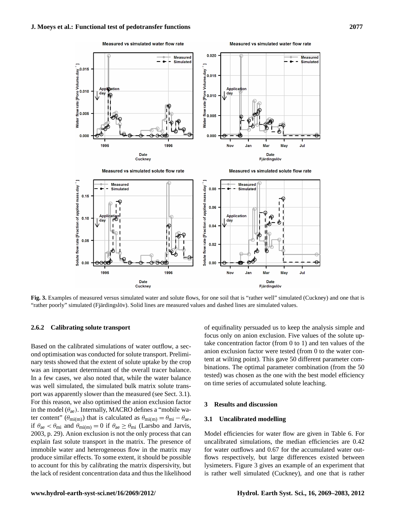

**Fig. 3.** Examples of measured versus simulated water and solute flows, for one soil that is "rather well" simulated (Cuckney) and one that is "rather poorly" simulated (Fjärdingslöv). Solid lines are measured values and dashed lines are simulated values.

# **2.6.2 Calibrating solute transport**

Based on the calibrated simulations of water outflow, a second optimisation was conducted for solute transport. Preliminary tests showed that the extent of solute uptake by the crop was an important determinant of the overall tracer balance. In a few cases, we also noted that, while the water balance was well simulated, the simulated bulk matrix solute transport was apparently slower than the measured (see Sect. 3.1). For this reason, we also optimised the anion exclusion factor in the model  $(\theta_{ae})$ . Internally, MACRO defines a "mobile water content" ( $\theta_{\text{mi}(m)}$ ) that is calculated as  $\theta_{\text{mi}(m)} = \theta_{\text{mi}} - \theta_{\text{ae}}$ , if  $\theta_{ae} < \theta_{mi}$  and  $\theta_{mi(m)} = 0$  if  $\theta_{ae} \ge \theta_{mi}$  (Larsbo and Jarvis, 2003, p. 29). Anion exclusion is not the only process that can explain fast solute transport in the matrix. The presence of immobile water and heterogeneous flow in the matrix may produce similar effects. To some extent, it should be possible to account for this by calibrating the matrix dispersivity, but the lack of resident concentration data and thus the likelihood of equifinality persuaded us to keep the analysis simple and focus only on anion exclusion. Five values of the solute uptake concentration factor (from 0 to 1) and ten values of the anion exclusion factor were tested (from 0 to the water content at wilting point). This gave 50 different parameter combinations. The optimal parameter combination (from the 50 tested) was chosen as the one with the best model efficiency on time series of accumulated solute leaching.

#### **3 Results and discussion**

#### **3.1 Uncalibrated modelling**

Model efficiencies for water flow are given in Table 6. For uncalibrated simulations, the median efficiencies are 0.42 for water outflows and 0.67 for the accumulated water outflows respectively, but large differences existed between lysimeters. Figure 3 gives an example of an experiment that is rather well simulated (Cuckney), and one that is rather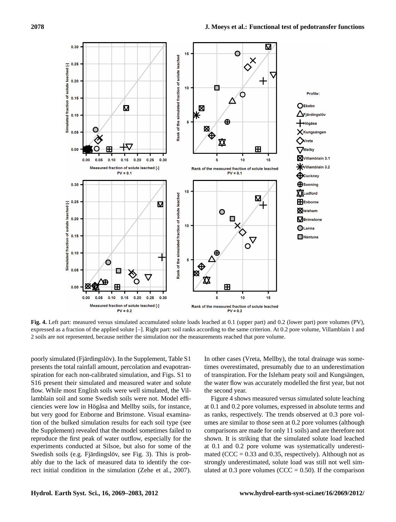

**Fig. 4.** Left part: measured versus simulated accumulated solute loads leached at 0.1 (upper part) and 0.2 (lower part) pore volumes (PV), expressed as a fraction of the applied solute [–]. Right part: soil ranks according to the same criterion. At 0.2 pore volume, Villamblain 1 and 2 soils are not represented, because neither the simulation nor the measurements reached that pore volume.

poorly simulated (Fjärdingslöv). In the Supplement, Table S1 presents the total rainfall amount, percolation and evapotranspiration for each non-calibrated simulation, and Figs. S1 to S16 present their simulated and measured water and solute flow. While most English soils were well simulated, the Villamblain soil and some Swedish soils were not. Model efficiencies were low in Högåsa and Mellby soils, for instance, but very good for Enborne and Brimstone. Visual examination of the bulked simulation results for each soil type (see the Supplement) revealed that the model sometimes failed to reproduce the first peak of water outflow, especially for the experiments conducted at Silsoe, but also for some of the Swedish soils (e.g. Fjärdingslöv, see Fig. 3). This is probably due to the lack of measured data to identify the correct initial condition in the simulation (Zehe et al., 2007). In other cases (Vreta, Mellby), the total drainage was sometimes overestimated, presumably due to an underestimation of transpiration. For the Isleham peaty soil and Kungsängen, the water flow was accurately modelled the first year, but not the second year.

Figure 4 shows measured versus simulated solute leaching at 0.1 and 0.2 pore volumes, expressed in absolute terms and as ranks, respectively. The trends observed at 0.3 pore volumes are similar to those seen at 0.2 pore volumes (although comparisons are made for only 11 soils) and are therefore not shown. It is striking that the simulated solute load leached at 0.1 and 0.2 pore volume was systematically underestimated (CCC =  $0.33$  and 0.35, respectively). Although not as strongly underestimated, solute load was still not well simulated at 0.3 pore volumes (CCC =  $0.50$ ). If the comparison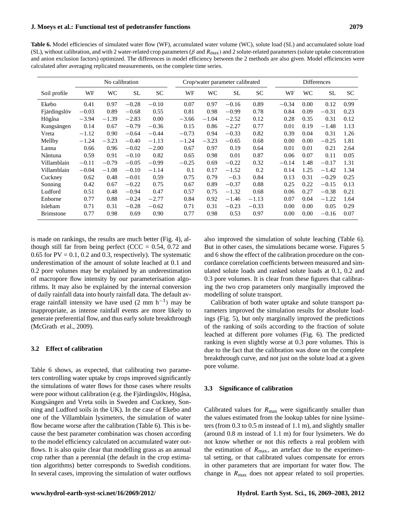**Table 6.** Model efficiencies of simulated water flow (WF), accumulated water volume (WC), solute load (SL) and accumulated solute load (SL), without calibration, and with 2 water-related crop parameters ( $\beta$  and  $R_{\text{max}}$ ) and 2 solute-related parameters (solute uptake concentration and anion exclusion factors) optimized. The differences in model efficiency between the 2 methods are also given. Model efficiencies were calculated after averaging replicated measurements, on the complete time series.

|                  |         |         | No calibration |           |         |         | Crop/water parameter calibrated |           |         | <b>Differences</b> |           |           |
|------------------|---------|---------|----------------|-----------|---------|---------|---------------------------------|-----------|---------|--------------------|-----------|-----------|
| Soil profile     | WF      | WC.     | <b>SL</b>      | <b>SC</b> | WF      | WC      | <b>SL</b>                       | <b>SC</b> | WF      | WC                 | <b>SL</b> | <b>SC</b> |
| Ekebo            | 0.41    | 0.97    | $-0.28$        | $-0.10$   | 0.07    | 0.97    | $-0.16$                         | 0.89      | $-0.34$ | 0.00               | 0.12      | 0.99      |
| Fjärdingslöv     | $-0.03$ | 0.89    | $-0.68$        | 0.55      | 0.81    | 0.98    | $-0.99$                         | 0.78      | 0.84    | 0.09               | $-0.31$   | 0.23      |
| Högåsa           | $-3.94$ | $-1.39$ | $-2.83$        | 0.00      | $-3.66$ | $-1.04$ | $-2.52$                         | 0.12      | 0.28    | 0.35               | 0.31      | 0.12      |
| Kungsängen       | 0.14    | 0.67    | $-0.79$        | $-0.36$   | 0.15    | 0.86    | $-2.27$                         | 0.77      | 0.01    | 0.19               | $-1.48$   | 1.13      |
| Vreta            | $-1.12$ | 0.90    | $-0.64$        | $-0.44$   | $-0.73$ | 0.94    | $-0.33$                         | 0.82      | 0.39    | 0.04               | 0.31      | 1.26      |
| Mellby           | $-1.24$ | $-3.23$ | $-0.40$        | $-1.13$   | $-1.24$ | $-3.23$ | $-0.65$                         | 0.68      | 0.00    | 0.00               | $-0.25$   | 1.81      |
| Lanna            | 0.66    | 0.96    | $-0.02$        | $-2.00$   | 0.67    | 0.97    | 0.19                            | 0.64      | 0.01    | 0.01               | 0.21      | 2.64      |
| Nåntuna          | 0.59    | 0.91    | $-0.10$        | 0.82      | 0.65    | 0.98    | 0.01                            | 0.87      | 0.06    | 0.07               | 0.11      | 0.05      |
| Villamblain      | $-0.11$ | $-0.79$ | $-0.05$        | $-0.99$   | $-0.25$ | 0.69    | $-0.22$                         | 0.32      | $-0.14$ | 1.48               | $-0.17$   | 1.31      |
| Villamblain      | $-0.04$ | $-1.08$ | $-0.10$        | $-1.14$   | 0.1     | 0.17    | $-1.52$                         | 0.2       | 0.14    | 1.25               | $-1.42$   | 1.34      |
| Cuckney          | 0.62    | 0.48    | $-0.01$        | 0.59      | 0.75    | 0.79    | $-0.3$                          | 0.84      | 0.13    | 0.31               | $-0.29$   | 0.25      |
| Sonning          | 0.42    | 0.67    | $-0.22$        | 0.75      | 0.67    | 0.89    | $-0.37$                         | 0.88      | 0.25    | 0.22               | $-0.15$   | 0.13      |
| Ludford          | 0.51    | 0.48    | $-0.94$        | 0.47      | 0.57    | 0.75    | $-1.32$                         | 0.68      | 0.06    | 0.27               | $-0.38$   | 0.21      |
| Enborne          | 0.77    | 0.88    | $-0.24$        | $-2.77$   | 0.84    | 0.92    | $-1.46$                         | $-1.13$   | 0.07    | 0.04               | $-1.22$   | 1.64      |
| Isleham          | 0.71    | 0.31    | $-0.28$        | $-0.62$   | 0.71    | 0.31    | $-0.23$                         | $-0.33$   | 0.00    | 0.00               | 0.05      | 0.29      |
| <b>Brimstone</b> | 0.77    | 0.98    | 0.69           | 0.90      | 0.77    | 0.98    | 0.53                            | 0.97      | 0.00    | 0.00               | $-0.16$   | 0.07      |

is made on rankings, the results are much better (Fig. 4), although still far from being perfect (CCC  $= 0.54$ , 0.72 and 0.65 for  $PV = 0.1$ , 0.2 and 0.3, respectively). The systematic underestimation of the amount of solute leached at 0.1 and 0.2 pore volumes may be explained by an underestimation of macropore flow intensity by our parameterisation algorithms. It may also be explained by the internal conversion of daily rainfall data into hourly rainfall data. The default average rainfall intensity we have used  $(2 \text{ mm h}^{-1})$  may be inappropriate, as intense rainfall events are more likely to generate preferential flow, and thus early solute breakthrough (McGrath et al., 2009).

# **3.2 Effect of calibration**

Table 6 shows, as expected, that calibrating two parameters controlling water uptake by crops improved significantly the simulations of water flows for those cases where results were poor without calibration (e.g. the Fjärdingslöv, Högåsa, Kungsängen and Vreta soils in Sweden and Cuckney, Sonning and Ludford soils in the UK). In the case of Ekebo and one of the Villamblain lysimeters, the simulation of water flow became worse after the calibration (Table 6). This is because the best parameter combination was chosen according to the model efficiency calculated on accumulated water outflows. It is also quite clear that modelling grass as an annual crop rather than a perennial (the default in the crop estimation algorithms) better corresponds to Swedish conditions. In several cases, improving the simulation of water outflows also improved the simulation of solute leaching (Table 6). But in other cases, the simulations became worse. Figures 5 and 6 show the effect of the calibration procedure on the concordance correlation coefficients between measured and simulated solute loads and ranked solute loads at 0.1, 0.2 and 0.3 pore volumes. It is clear from these figures that calibrating the two crop parameters only marginally improved the modelling of solute transport.

Calibration of both water uptake and solute transport parameters improved the simulation results for absolute loadings (Fig. 5), but only marginally improved the predictions of the ranking of soils according to the fraction of solute leached at different pore volumes (Fig. 6). The predicted ranking is even slightly worse at 0.3 pore volumes. This is due to the fact that the calibration was done on the complete breakthrough curve, and not just on the solute load at a given pore volume.

### **3.3 Significance of calibration**

Calibrated values for  $R_{\text{max}}$  were significantly smaller than the values estimated from the lookup tables for nine lysimeters (from 0.3 to 0.5 m instead of 1.1 m), and slightly smaller (around 0.8 m instead of 1.1 m) for four lysimeters. We do not know whether or not this reflects a real problem with the estimation of  $R_{\text{max}}$ , an artefact due to the experimental setting, or that calibrated values compensate for errors in other parameters that are important for water flow. The change in  $R_{\text{max}}$  does not appear related to soil properties.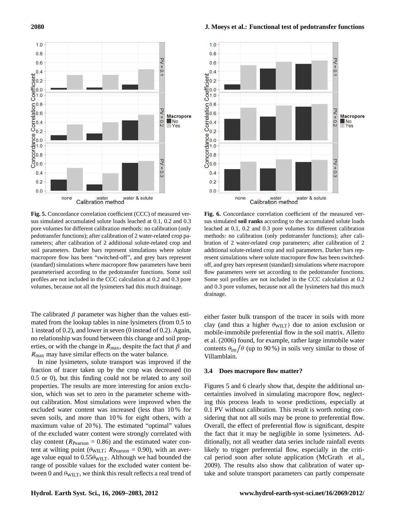

**Fig. 5.** Concordance correlation coefficient (CCC) of measured versus simulated accumulated solute loads leached at 0.1, 0.2 and 0.3 pore volumes for different calibration methods: no calibration (only pedotransfer functions); after calibration of 2 water-related crop parameters; after calibration of 2 additional solute-related crop and soil parameters. Darker bars represent simulations where solute macropore flow has been "switched-off", and grey bars represent (standard) simulations where macropore flow parameters have been parameterised according to the pedotransfer functions. Some soil profiles are not included in the CCC calculation at 0.2 and 0.3 pore volumes, because not all the lysimeters had this much drainage.

The calibrated  $\beta$  parameter was higher than the values estimated from the lookup tables in nine lysimeters (from 0.5 to 1 instead of 0.2), and lower in seven (0 instead of 0.2). Again, no relationship was found between this change and soil properties, or with the change in  $R_{\text{max}}$ , despite the fact that  $\beta$  and  $R_{\text{max}}$  may have similar effects on the water balance.

In nine lysimeters, solute transport was improved if the fraction of tracer taken up by the crop was decreased (to 0.5 or 0), but this finding could not be related to any soil properties. The results are more interesting for anion exclusion, which was set to zero in the parameter scheme without calibration. Most simulations were improved when the excluded water content was increased (less than 10 % for seven soils, and more than 10 % for eight others, with a maximum value of 20 %). The estimated "optimal" values of the excluded water content were strongly correlated with clay content ( $R_{Pearson} = 0.86$ ) and the estimated water content at wilting point ( $\theta_{\text{WILT}}$ ;  $R_{\text{Pearson}} = 0.90$ ), with an average value equal to  $0.55\theta_{\text{WILT}}$ . Although we had bounded the range of possible values for the excluded water content between 0 and  $\theta_{\text{WILT}}$ , we think this result reflects a real trend of



**Fig. 6.** Concordance correlation coefficient of the measured versus simulated **soil ranks** according to the accumulated solute loads leached at 0.1, 0.2 and 0.3 pore volumes for different calibration methods: no calibration (only pedotransfer functions); after calibration of 2 water-related crop parameters; after calibration of 2 additional solute-related crop and soil parameters. Darker bars represent simulations where solute macropore flow has been switchedoff, and grey bars represent (standard) simulations where macropore flow parameters were set according to the pedotransfer functions. Some soil profiles are not included in the CCC calculation at 0.2 and 0.3 pore volumes, because not all the lysimeters had this much drainage.

either faster bulk transport of the tracer in soils with more clay (and thus a higher  $\theta_{\text{WII,T}}$ ) due to anion exclusion or mobile-immobile preferential flow in the soil matrix. Alletto et al. (2006) found, for example, rather large immobile water contents  $\theta_{\text{im}}/\theta$  (up to 90%) in soils very similar to those of Villamblain.

#### **3.4 Does macropore flow matter?**

Figures 5 and 6 clearly show that, despite the additional uncertainties involved in simulating macropore flow, neglecting this process leads to worse predictions, especially at 0.1 PV without calibration. This result is worth noting considering that not all soils may be prone to preferential flow. Overall, the effect of preferential flow is significant, despite the fact that it may be negligible in some lysimeters. Additionally, not all weather data series include rainfall events likely to trigger preferential flow, especially in the critical period soon after solute application (McGrath et al., 2009). The results also show that calibration of water uptake and solute transport parameters can partly compensate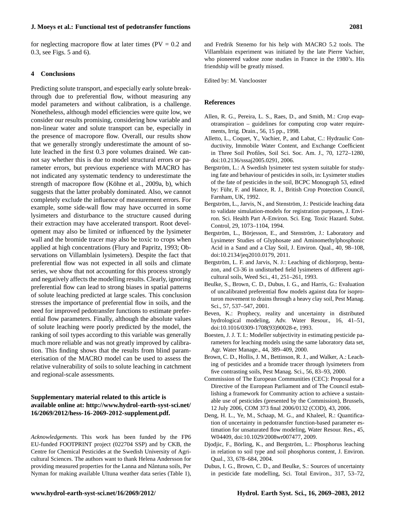for neglecting macropore flow at later times ( $PV = 0.2$  and 0.3, see Figs. 5 and 6).

#### **4 Conclusions**

Predicting solute transport, and especially early solute breakthrough due to preferential flow, without measuring any model parameters and without calibration, is a challenge. Nonetheless, although model efficiencies were quite low, we consider our results promising, considering how variable and non-linear water and solute transport can be, especially in the presence of macropore flow. Overall, our results show that we generally strongly underestimate the amount of solute leached in the first 0.3 pore volumes drained. We cannot say whether this is due to model structural errors or parameter errors, but previous experience with MACRO has not indicated any systematic tendency to underestimate the strength of macropore flow (Köhne et al., 2009a, b), which suggests that the latter probably dominated. Also, we cannot completely exclude the influence of measurement errors. For example, some side-wall flow may have occurred in some lysimeters and disturbance to the structure caused during their extraction may have accelerated transport. Root development may also be limited or influenced by the lysimeter wall and the bromide tracer may also be toxic to crops when applied at high concentrations (Flury and Papritz, 1993; Observations on Villamblain lysimeters). Despite the fact that preferential flow was not expected in all soils and climate series, we show that not accounting for this process strongly and negatively affects the modelling results. Clearly, ignoring preferential flow can lead to strong biases in spatial patterns of solute leaching predicted at large scales. This conclusion stresses the importance of preferential flow in soils, and the need for improved pedotransfer functions to estimate preferential flow parameters. Finally, although the absolute values of solute leaching were poorly predicted by the model, the ranking of soil types according to this variable was generally much more reliable and was not greatly improved by calibration. This finding shows that the results from blind parameterisation of the MACRO model can be used to assess the relative vulnerability of soils to solute leaching in catchment and regional-scale assessments.

# **Supplementary material related to this article is available online at: [http://www.hydrol-earth-syst-sci.net/](http://www.hydrol-earth-syst-sci.net/16/2069/2012/hess-16-2069-2012-supplement.pdf) [16/2069/2012/hess-16-2069-2012-supplement.pdf.](http://www.hydrol-earth-syst-sci.net/16/2069/2012/hess-16-2069-2012-supplement.pdf)**

*Acknowledgements.* This work has been funded by the FP6 EU-funded FOOTPRINT project (022704 SSP) and by CKB, the Centre for Chemical Pesticides at the Swedish University of Agricultural Sciences. The authors want to thank Helena Andersson for providing measured properties for the Lanna and Nåntuna soils, Per Nyman for making available Ultuna weather data series (Table 1), and Fredrik Stenemo for his help with MACRO 5.2 tools. The Villamblain experiment was initiated by the late Pierre Vachier, who pioneered vadose zone studies in France in the 1980's. His friendship will be greatly missed.

Edited by: M. Vanclooster

#### **References**

- Allen, R. G., Pereira, L. S., Raes, D., and Smith, M.: Crop evapotranspiration – guidelines for computing crop water requirements, Irrig. Drain., 56, 15 pp., 1998.
- Alletto, L., Coquet, Y., Vachier, P., and Labat, C.: Hydraulic Conductivity, Immobile Water Content, and Exchange Coefficient in Three Soil Profiles, Soil Sci. Soc. Am. J., 70, 1272–1280, [doi:10.2136/sssaj2005.0291,](http://dx.doi.org/10.2136/sssaj2005.0291) 2006.
- Bergström, L.: A Swedish lysimeter test system suitable for studying fate and behaviour of pesticides in soils, in: Lysimeter studies of the fate of pesticides in the soil, BCPC Monograph 53, edited by: Führ, F. and Hance, R. J., British Crop Protection Council, Farnham, UK, 1992.
- Bergström, L., Jarvis, N., and Stenström, J.: Pesticide leaching data to validate simulation-models for registration purposes, J. Environ. Sci. Health Part A-Environ. Sci. Eng. Toxic Hazard. Subst. Control, 29, 1073–1104, 1994.
- Bergström, L., Börjesson, E., and Stenström, J.: Laboratory and Lysimeter Studies of Glyphosate and Aminomethylphosphonic Acid in a Sand and a Clay Soil, J. Environ. Qual., 40, 98–108, [doi:10.2134/jeq2010.0179,](http://dx.doi.org/10.2134/jeq2010.0179) 2011.
- Bergström, L. F. and Jarvis, N. J.: Leaching of dichlorprop, bentazon, and Cl-36 in undisturbed field lysimeters of different agricultural soils, Weed Sci., 41, 251–261, 1993.
- Beulke, S., Brown, C. D., Dubus, I. G., and Harris, G.: Evaluation of uncalibrated preferential flow models against data for isoproturon movement to drains through a heavy clay soil, Pest Manag. Sci., 57, 537–547, 2001.
- Beven, K.: Prophecy, reality and uncertainty in distributed hydrological modeling, Adv. Water Resour., 16, 41–51, [doi:10.1016/0309-1708\(93\)90028-e,](http://dx.doi.org/10.1016/0309-1708(93)90028-e) 1993.
- Boesten, J. J. T. I.: Modeller subjectivity in estimating pesticide parameters for leaching models using the same laboratory data set, Agr. Water Manage., 44, 389–409, 2000.
- Brown, C. D., Hollis, J. M., Bettinson, R. J., and Walker, A.: Leaching of pesticides and a bromide tracer through lysimeters from five contrasting soils, Pest Manag. Sci., 56, 83–93, 2000.
- Commission of The European Communities (CEC): Proposal for a Directive of the European Parliament and of The Council establishing a framework for Community action to achieve a sustainable use of pesticides (presented by the Commission), Brussels, 12 July 2006, COM 373 final 2006/0132 (COD), 43, 2006.
- Deng, H. L., Ye, M., Schaap, M. G., and Khaleel, R.: Quantification of uncertainty in pedotransfer function-based parameter estimation for unsaturated flow modeling, Water Resour. Res., 45, W04409, [doi:10.1029/2008wr007477,](http://dx.doi.org/10.1029/2008wr007477) 2009.
- Djodjic, F., Börling, K., and Bergström, L.: Phosphorus leaching in relation to soil type and soil phosphorus content, J. Environ. Qual., 33, 678–684, 2004.
- Dubus, I. G., Brown, C. D., and Beulke, S.: Sources of uncertainty in pesticide fate modelling, Sci. Total Environ., 317, 53–72,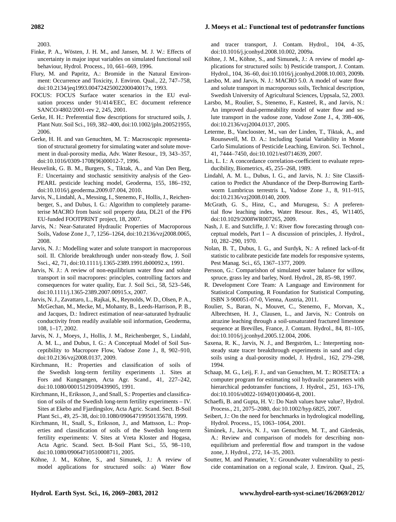2003.

- Finke, P. A., Wösten, J. H. M., and Jansen, M. J. W.: Effects of uncertainty in major input variables on simulated functional soil behaviour, Hydrol. Process., 10, 661–669, 1996.
- Flury, M. and Papritz, A.: Bromide in the Natural Environment: Occurrence and Toxicity, J. Environ. Qual., 22, 747–758, [doi:10.2134/jeq1993.00472425002200040017x,](http://dx.doi.org/10.2134/jeq1993.00472425002200040017x) 1993.
- FOCUS: FOCUS Surface water scenarios in the EU evaluation process under 91/414/EEC, EC document reference SANCO/4802/2001-rev 2, 245, 2001.
- Gerke, H. H.: Preferential flow descriptions for structured soils, J. Plant Nutr. Soil Sci., 169, 382–400, [doi:10.1002/jpln.200521955,](http://dx.doi.org/10.1002/jpln.200521955) 2006.
- Gerke, H. H. and van Genuchten, M. T.: Macroscopic representation of structural geometry for simulating water and solute movement in dual-porosity media, Adv. Water Resour., 19, 343–357, [doi:10.1016/0309-1708\(96\)00012-7,](http://dx.doi.org/10.1016/0309-1708(96)00012-7) 1996.
- Heuvelink, G. B. M., Burgers, S., Tiktak, A., and Van Den Berg, F.: Uncertainty and stochastic sensitivity analysis of the Geo-PEARL pesticide leaching model, Geoderma, 155, 186–192, [doi:10.1016/j.geoderma.2009.07.004,](http://dx.doi.org/10.1016/j.geoderma.2009.07.004) 2010.
- Jarvis, N., Lindahl, A., Messing, I., Stenemo, F., Hollis, J., Reichenberger, S., and Dubus, I. G.: Algorithm to completely parameterise MACRO from basic soil property data, DL21 of the FP6 EU-funded FOOTPRINT project, 18, 2007.
- Jarvis, N.: Near-Saturated Hydraulic Properties of Macroporous Soils, Vadose Zone J., 7, 1256–1264, [doi:10.2136/vzj2008.0065,](http://dx.doi.org/10.2136/vzj2008.0065) 2008.
- Jarvis, N. J.: Modelling water and solute transport in macroporous soil. II. Chloride breakthrough under non-steady flow, J. Soil Ssci., 42, 71, [doi:10.1111/j.1365-2389.1991.tb00092.x,](http://dx.doi.org/10.1111/j.1365-2389.1991.tb00092.x) 1991.
- Jarvis, N. J.: A review of non-equilibrium water flow and solute transport in soil macropores: principles, controlling factors and consequences for water quality, Eur. J. Soil Sci., 58, 523–546, [doi:10.1111/j.1365-2389.2007.00915.x,](http://dx.doi.org/10.1111/j.1365-2389.2007.00915.x) 2007.
- Jarvis, N. J., Zavattaro, L., Rajkai, K., Reynolds, W. D., Olsen, P. A., McGechan, M., Mecke, M., Mohanty, B., Leeds-Harrison, P. B., and Jacques, D.: Indirect estimation of near-saturated hydraulic conductivity from readily available soil information, Geoderma, 108, 1–17, 2002.
- Jarvis, N. J., Moeys, J., Hollis, J. M., Reichenberger, S., Lindahl, A. M. L., and Dubus, I. G.: A Conceptual Model of Soil Susceptibility to Macropore Flow, Vadose Zone J., 8, 902–910, [doi:10.2136/vzj2008.0137,](http://dx.doi.org/10.2136/vzj2008.0137) 2009.
- Kirchmann, H.: Properties and classification of soils of the Swedish long-term fertility experiments .1. Sites at Fors and Kungsangen, Acta Agr. Scand., 41, 227–242, [doi:10.1080/00015129109439905,](http://dx.doi.org/10.1080/00015129109439905) 1991.
- Kirchmann, H., Eriksson, J., and Snall, S.: Properties and classification of soils of the Swedish long-term fertility experiments – IV. Sites at Ekebo and Fjardingslov, Acta Agric. Scand. Sect. B-Soil Plant Sci., 49, 25–38, [doi:10.1080/09064719950135678,](http://dx.doi.org/10.1080/09064719950135678) 1999.
- Kirchmann, H., Snall, S., Eriksson, J., and Mattsson, L.: Properties and classification of soils of the Swedish long-term fertility experiments: V. Sites at Vreta Kloster and Hogasa, Acta Agric. Scand. Sect. B-Soil Plant Sci., 55, 98–110, [doi:10.1080/09064710510008711,](http://dx.doi.org/10.1080/09064710510008711) 2005.
- Köhne, J. M., Köhne, S., and Simunek, J.: A review of model applications for structured soils: a) Water flow

and tracer transport, J. Contam. Hydrol., 104, 4–35, [doi:10.1016/j.jconhyd.2008.10.002,](http://dx.doi.org/10.1016/j.jconhyd.2008.10.002) 2009a.

- Köhne, J. M., Köhne, S., and Simunek, J.: A review of model applications for structured soils: b) Pesticide transport, J. Contam. Hydrol., 104, 36–60, [doi:10.1016/j.jconhyd.2008.10.003,](http://dx.doi.org/10.1016/j.jconhyd.2008.10.003) 2009b.
- Larsbo, M. and Jarvis, N. J.: MACRO 5.0. A model of water flow and solute transport in macroporous soils, Technical description, Swedish University of Agricultural Sciences, Uppsala, 52, 2003.
- Larsbo, M., Roulier, S., Stenemo, F., Kasteel, R., and Jarvis, N.: An improved dual-permeability model of water flow and solute transport in the vadose zone, Vadose Zone J., 4, 398–406, [doi:10.2136/vzj2004.0137,](http://dx.doi.org/10.2136/vzj2004.0137) 2005.
- Leterme, B., Vanclooster, M., van der Linden, T., Tiktak, A., and Rounsevell, M. D. A.: Including Spatial Variability in Monte Carlo Simulations of Pesticide Leaching, Environ. Sci. Technol., 41, 7444–7450, [doi:10.1021/es0714639,](http://dx.doi.org/10.1021/es0714639) 2007.
- Lin, L. I.: A concordance correlation-coefficient to evaluate reproducibility, Biometrics, 45, 255–268, 1989.
- Lindahl, A. M. L., Dubus, I. G., and Jarvis, N. J.: Site Classification to Predict the Abundance of the Deep-Burrowing Earthworm Lumbricus terrestris L, Vadose Zone J., 8, 911–915, [doi:10.2136/vzj2008.0140,](http://dx.doi.org/10.2136/vzj2008.0140) 2009.
- McGrath, G. S., Hinz, C., and Murugesu, S.: A preferential flow leaching index, Water Resour. Res., 45, W11405, [doi:10.1029/2008WR007265,](http://dx.doi.org/10.1029/2008WR007265) 2009.
- Nash, J. E. and Sutcliffe, J. V.: River flow forecasting through conceptual models, Part I – A discussion of principles, J. Hydrol., 10, 282–290, 1970.
- Nolan, B. T., Dubus, I. G., and Surdyk, N.: A refined lack-of-fit statistic to calibrate pesticide fate models for responsive systems, Pest Manag. Sci., 65, 1367–1377, 2009.
- Persson, G.: Comparishon of simulated water balance for willow, spruce, grass ley and barley, Nord. Hydrol., 28, 85–98, 1997.
- R. Development Core Team: A Language and Environment for Statistical Computing, R Foundation for Statistical Computing, ISBN 3-900051-07-0, Vienna, Austria, 2011.
- Roulier, S., Baran, N., Mouvet, C., Stenemo, F., Morvan, X., Albrechtsen, H. J., Clausen, L., and Jarvis, N.: Controls on atrazine leaching through a soil-unsaturated fractured limestone sequence at Brevilles, France, J. Contam. Hydrol., 84, 81–105, [doi:10.1016/j.jconhyd.2005.12.004,](http://dx.doi.org/10.1016/j.jconhyd.2005.12.004) 2006.
- Saxena, R. K., Jarvis, N. J., and Bergström, L.: Interpreting nonsteady state tracer breakthrough experiments in sand and clay soils using a dual-porosity model, J. Hydrol., 162, 279–298, 1994.
- Schaap, M. G., Leij, F. J., and van Genuchten, M. T.: ROSETTA: a computer program for estimating soil hydraulic parameters with hierarchical pedotransfer functions, J. Hydrol., 251, 163-176, [doi:10.1016/s0022-1694\(01\)00466-8,](http://dx.doi.org/10.1016/s0022-1694(01)00466-8) 2001.
- Schaefli, B. and Gupta, H. V.: Do Nash values have value?, Hydrol. Process., 21, 2075–2080, [doi:10.1002/hyp.6825,](http://dx.doi.org/10.1002/hyp.6825) 2007.
- Seibert, J.: On the need for benchmarks in hydrological modelling, Hydrol. Process., 15, 1063–1064, 2001.
- Šimùnek, J., Jarvis, N. J., van Genuchten, M. T., and Gärdenäs, A.: Review and comparison of models for describing nonequilibrium and preferential flow and transport in the vadose zone, J. Hydrol., 272, 14–35, 2003.
- Soutter, M. and Pannatier, Y.: Groundwater vulnerability to pesticide contamination on a regional scale, J. Environ. Qual., 25,